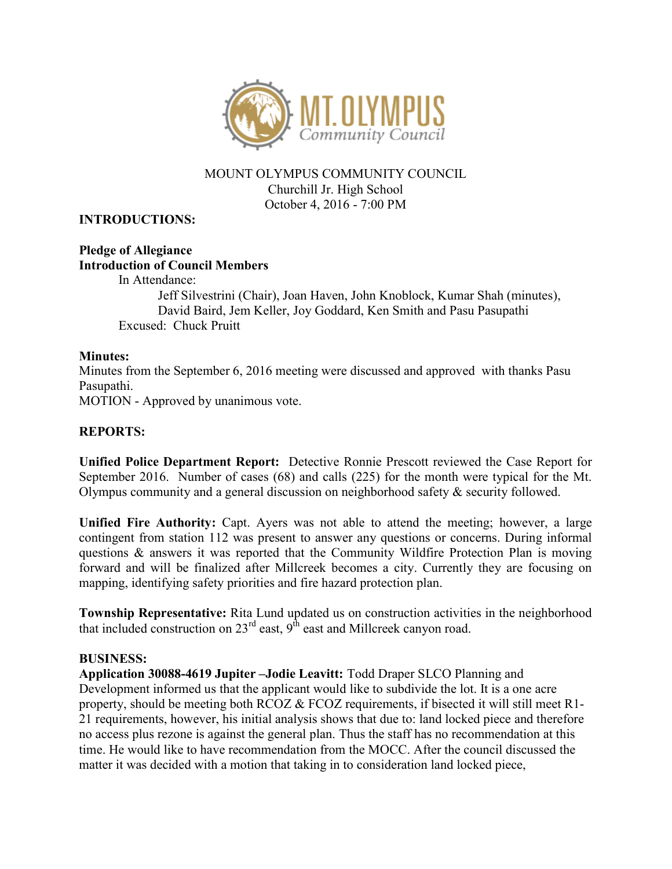

## MOUNT OLYMPUS COMMUNITY COUNCIL Churchill Jr. High School October 4, 2016 - 7:00 PM

## INTRODUCTIONS:

### Pledge of Allegiance Introduction of Council Members

In Attendance: Jeff Silvestrini (Chair), Joan Haven, John Knoblock, Kumar Shah (minutes), David Baird, Jem Keller, Joy Goddard, Ken Smith and Pasu Pasupathi Excused: Chuck Pruitt

### Minutes:

Minutes from the September 6, 2016 meeting were discussed and approved with thanks Pasu Pasupathi.

MOTION - Approved by unanimous vote.

# REPORTS:

Unified Police Department Report: Detective Ronnie Prescott reviewed the Case Report for September 2016. Number of cases (68) and calls (225) for the month were typical for the Mt. Olympus community and a general discussion on neighborhood safety & security followed.

Unified Fire Authority: Capt. Ayers was not able to attend the meeting; however, a large contingent from station 112 was present to answer any questions or concerns. During informal questions & answers it was reported that the Community Wildfire Protection Plan is moving forward and will be finalized after Millcreek becomes a city. Currently they are focusing on mapping, identifying safety priorities and fire hazard protection plan.

Township Representative: Rita Lund updated us on construction activities in the neighborhood that included construction on 23<sup>rd</sup> east, 9<sup>th</sup> east and Millcreek canyon road.

#### BUSINESS:

Application 30088-4619 Jupiter –Jodie Leavitt: Todd Draper SLCO Planning and Development informed us that the applicant would like to subdivide the lot. It is a one acre property, should be meeting both RCOZ  $\&$  FCOZ requirements, if bisected it will still meet R1-21 requirements, however, his initial analysis shows that due to: land locked piece and therefore no access plus rezone is against the general plan. Thus the staff has no recommendation at this time. He would like to have recommendation from the MOCC. After the council discussed the matter it was decided with a motion that taking in to consideration land locked piece,